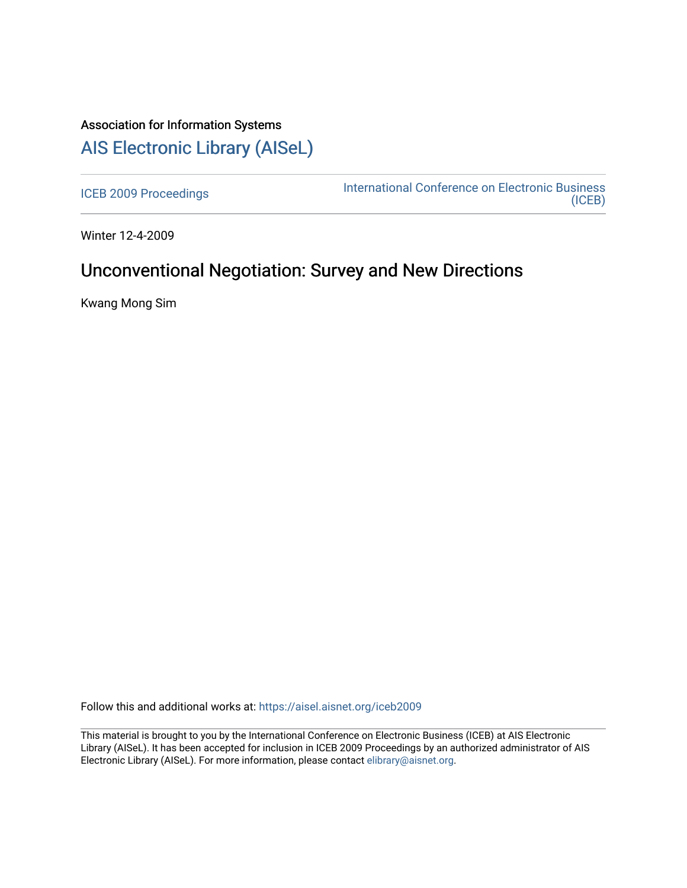# Association for Information Systems [AIS Electronic Library \(AISeL\)](https://aisel.aisnet.org/)

[ICEB 2009 Proceedings](https://aisel.aisnet.org/iceb2009) **International Conference on Electronic Business** [\(ICEB\)](https://aisel.aisnet.org/iceb) 

Winter 12-4-2009

# Unconventional Negotiation: Survey and New Directions

Kwang Mong Sim

Follow this and additional works at: [https://aisel.aisnet.org/iceb2009](https://aisel.aisnet.org/iceb2009?utm_source=aisel.aisnet.org%2Ficeb2009%2F130&utm_medium=PDF&utm_campaign=PDFCoverPages)

This material is brought to you by the International Conference on Electronic Business (ICEB) at AIS Electronic Library (AISeL). It has been accepted for inclusion in ICEB 2009 Proceedings by an authorized administrator of AIS Electronic Library (AISeL). For more information, please contact [elibrary@aisnet.org.](mailto:elibrary@aisnet.org%3E)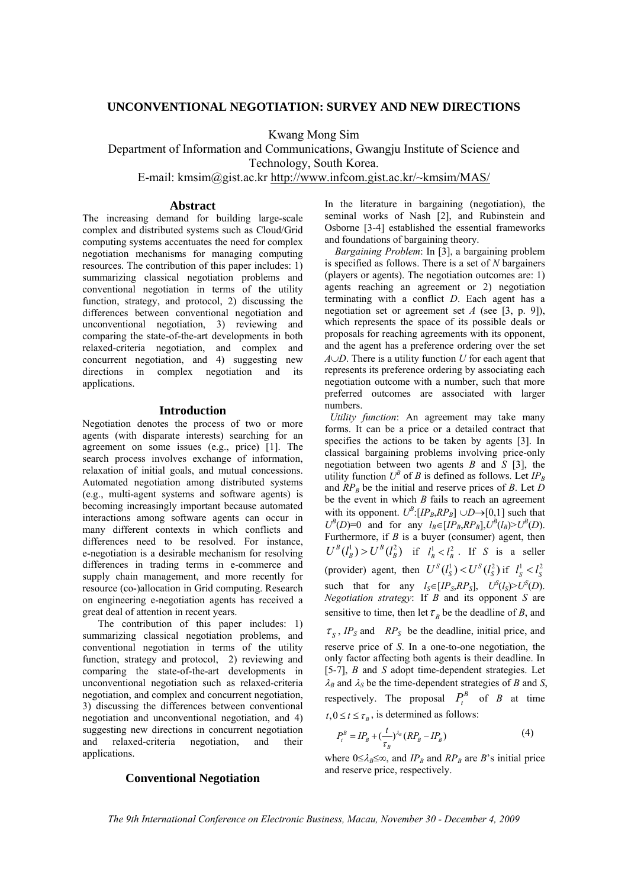## **UNCONVENTIONAL NEGOTIATION: SURVEY AND NEW DIRECTIONS**

Kwang Mong Sim

Department of Information and Communications, Gwangju Institute of Science and Technology, South Korea.

E-mail: kmsim@gist.ac.kr http://www.infcom.gist.ac.kr/~kmsim/MAS/

## **Abstract**

The increasing demand for building large-scale complex and distributed systems such as Cloud/Grid computing systems accentuates the need for complex negotiation mechanisms for managing computing resources. The contribution of this paper includes: 1) summarizing classical negotiation problems and conventional negotiation in terms of the utility function, strategy, and protocol, 2) discussing the differences between conventional negotiation and unconventional negotiation, 3) reviewing and comparing the state-of-the-art developments in both relaxed-criteria negotiation, and complex and concurrent negotiation, and 4) suggesting new directions in complex negotiation and its applications.

### **Introduction**

Negotiation denotes the process of two or more agents (with disparate interests) searching for an agreement on some issues (e.g., price) [1]. The search process involves exchange of information, relaxation of initial goals, and mutual concessions. Automated negotiation among distributed systems (e.g., multi-agent systems and software agents) is becoming increasingly important because automated interactions among software agents can occur in many different contexts in which conflicts and differences need to be resolved. For instance, e-negotiation is a desirable mechanism for resolving differences in trading terms in e-commerce and supply chain management, and more recently for resource (co-)allocation in Grid computing. Research on engineering e-negotiation agents has received a great deal of attention in recent years.

 The contribution of this paper includes: 1) summarizing classical negotiation problems, and conventional negotiation in terms of the utility function, strategy and protocol, 2) reviewing and comparing the state-of-the-art developments in unconventional negotiation such as relaxed-criteria negotiation, and complex and concurrent negotiation, 3) discussing the differences between conventional negotiation and unconventional negotiation, and 4) suggesting new directions in concurrent negotiation and relaxed-criteria negotiation, and their applications.

In the literature in bargaining (negotiation), the seminal works of Nash [2], and Rubinstein and Osborne [3-4] established the essential frameworks and foundations of bargaining theory.

*Bargaining Problem*: In [3], a bargaining problem is specified as follows. There is a set of *N* bargainers (players or agents). The negotiation outcomes are: 1) agents reaching an agreement or 2) negotiation terminating with a conflict *D*. Each agent has a negotiation set or agreement set *A* (see [3, p. 9]), which represents the space of its possible deals or proposals for reaching agreements with its opponent, and the agent has a preference ordering over the set *A*∪*D*. There is a utility function *U* for each agent that represents its preference ordering by associating each negotiation outcome with a number, such that more preferred outcomes are associated with larger numbers.

 *Utility function*: An agreement may take many forms. It can be a price or a detailed contract that specifies the actions to be taken by agents [3]. In classical bargaining problems involving price-only negotiation between two agents *B* and *S* [3], the utility function  $U^B$  of *B* is defined as follows. Let  $IP_B$ and  $RP<sub>B</sub>$  be the initial and reserve prices of *B*. Let *D* be the event in which *B* fails to reach an agreement with its opponent.  $U^B$ : [ $IP_B$ ,  $RP_B$ ]  $\cup D \rightarrow [0,1]$  such that  $U^B(D)=0$  and for any *l<sub>B</sub>*∈[*IP<sub>B</sub>*,*RP<sub>B</sub>*], $U^B(l_B) > U^B(D)$ . Furthermore, if *B* is a buyer (consumer) agent, then  $U^B(l_B^1) > U^B(l_B^2)$  if  $l_B^1 < l_B^2$ . If *S* is a seller (provider) agent, then  $U^S(l_S^1) < U^S(l_S^2)$  if  $l_S^1 < l_S^2$ such that for any  $l_S \in [IP_S, RP_S]$ ,  $U^S(l_S) > U^S(D)$ . *Negotiation strategy*: If *B* and its opponent *S* are sensitive to time, then let  $\tau<sub>B</sub>$  be the deadline of *B*, and

 $\tau_s$ , *IP<sub>S</sub>* and *RP<sub>S</sub>* be the deadline, initial price, and reserve price of *S*. In a one-to-one negotiation, the only factor affecting both agents is their deadline. In [5-7], *B* and *S* adopt time-dependent strategies. Let  $\lambda_B$  and  $\lambda_S$  be the time-dependent strategies of *B* and *S*, respectively. The proposal  $P_t^B$  of *B* at time  $t, 0 \le t \le \tau_{\nu}$ , is determined as follows:

$$
P_t^B = IP_B + \left(\frac{t}{\tau_B}\right)^{\lambda_B} \left(RP_B - IP_B\right) \tag{4}
$$

where  $0 \leq \lambda_B \leq \infty$ , and *IP<sub>B</sub>* and *RP<sub>B</sub>* are *B*'s initial price and reserve price, respectively.

**Conventional Negotiation** 

*The 9th International Conference on Electronic Business, Macau, November 30 - December 4, 2009*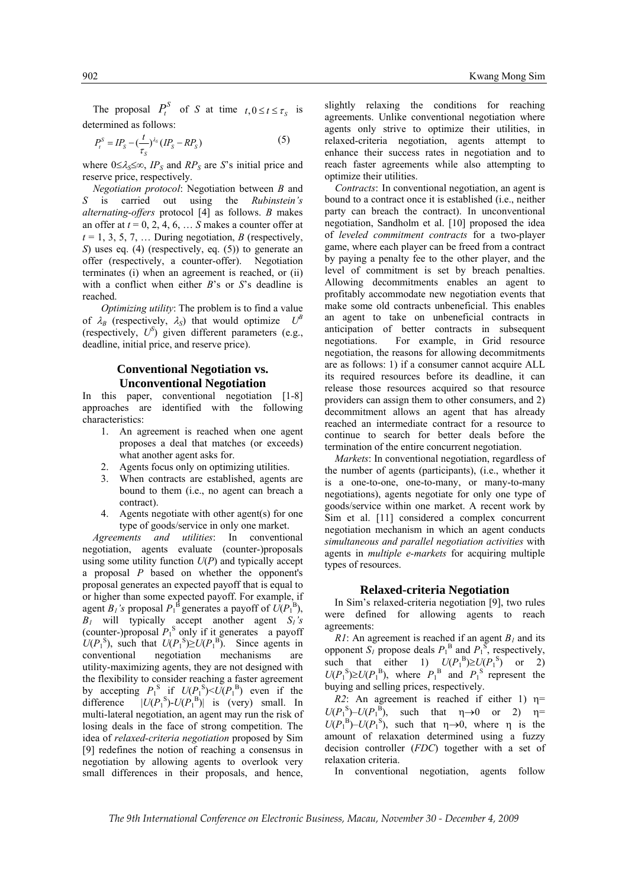The proposal  $P_t^S$  of *S* at time  $t, 0 \le t \le \tau_s$  is determined as follows:

$$
P_t^S = I P_S - \left(\frac{t}{\tau_S}\right)^{\lambda_S} (I P_S - R P_S) \tag{5}
$$

where  $0 \leq \lambda_s \leq \infty$ , *IP<sub>S</sub>* and *RP<sub>S</sub>* are *S*'s initial price and reserve price, respectively.

*Negotiation protocol*: Negotiation between *B* and *S* is carried out using the *Rubinstein's alternating-offers* protocol [4] as follows. *B* makes an offer at  $t = 0, 2, 4, 6, \ldots S$  makes a counter offer at  $t = 1, 3, 5, 7, \ldots$  During negotiation, *B* (respectively, *S*) uses eq. (4) (respectively, eq. (5)) to generate an offer (respectively, a counter-offer). Negotiation terminates (i) when an agreement is reached, or (ii) with a conflict when either *B*'s or *S*'s deadline is reached.

 *Optimizing utility*: The problem is to find a value of  $\lambda_B$  (respectively,  $\lambda_S$ ) that would optimize  $U^B$ (respectively,  $U^S$ ) given different parameters (e.g., deadline, initial price, and reserve price).

# **Conventional Negotiation vs. Unconventional Negotiation**

In this paper, conventional negotiation [1-8] approaches are identified with the following characteristics:

- 1. An agreement is reached when one agent proposes a deal that matches (or exceeds) what another agent asks for.
- 2. Agents focus only on optimizing utilities.
- When contracts are established, agents are bound to them (i.e., no agent can breach a contract).
- 4. Agents negotiate with other agent(s) for one type of goods/service in only one market.

 *Agreements and utilities*: In conventional negotiation, agents evaluate (counter-)proposals using some utility function *U*(*P*) and typically accept a proposal *P* based on whether the opponent's proposal generates an expected payoff that is equal to or higher than some expected payoff. For example, if agent  $B_l$ 's proposal  $P_1^{\text{B}}$  generates a payoff of  $\hat{U}(P_1^{\text{B}})$ , *B1* will typically accept another agent *S1's* (counter-)proposal  $P_1^{\ S}$  only if it generates a payoff  $U(P_1^S)$ , such that  $U(P_1^S) \ge U(P_1^B)$ . Since agents in conventional negotiation mechanisms are utility-maximizing agents, they are not designed with the flexibility to consider reaching a faster agreement by accepting  $P_1^S$  if  $U(P_1^S) \le U(P_1^B)$  even if the difference  $|U(P_1^{\text{S}}) - U(P_1^{\text{B}})|$  is (very) small. In multi-lateral negotiation, an agent may run the risk of losing deals in the face of strong competition. The idea of *relaxed-criteria negotiation* proposed by Sim [9] redefines the notion of reaching a consensus in negotiation by allowing agents to overlook very small differences in their proposals, and hence,

slightly relaxing the conditions for reaching agreements. Unlike conventional negotiation where agents only strive to optimize their utilities, in relaxed-criteria negotiation, agents attempt to enhance their success rates in negotiation and to reach faster agreements while also attempting to optimize their utilities.

*Contracts*: In conventional negotiation, an agent is bound to a contract once it is established (i.e., neither party can breach the contract). In unconventional negotiation, Sandholm et al. [10] proposed the idea of *leveled commitment contracts* for a two-player game, where each player can be freed from a contract by paying a penalty fee to the other player, and the level of commitment is set by breach penalties. Allowing decommitments enables an agent to profitably accommodate new negotiation events that make some old contracts unbeneficial. This enables an agent to take on unbeneficial contracts in anticipation of better contracts in subsequent negotiations. For example, in Grid resource negotiation, the reasons for allowing decommitments are as follows: 1) if a consumer cannot acquire ALL its required resources before its deadline, it can release those resources acquired so that resource providers can assign them to other consumers, and 2) decommitment allows an agent that has already reached an intermediate contract for a resource to continue to search for better deals before the termination of the entire concurrent negotiation.

*Markets*: In conventional negotiation, regardless of the number of agents (participants), (i.e., whether it is a one-to-one, one-to-many, or many-to-many negotiations), agents negotiate for only one type of goods/service within one market. A recent work by Sim et al. [11] considered a complex concurrent negotiation mechanism in which an agent conducts *simultaneous and parallel negotiation activities* with agents in *multiple e-markets* for acquiring multiple types of resources.

### **Relaxed-criteria Negotiation**

In Sim's relaxed-criteria negotiation [9], two rules were defined for allowing agents to reach agreements:

*R1*: An agreement is reached if an agent  $B<sub>1</sub>$  and its opponent  $S_I$  propose deals  $P_1^B$  and  $P_1^S$ , respectively, such that either 1)  $U(P_1^B) \ge U(P_1^S)$  or 2)  $U(P_1^S) \ge U(P_1^B)$ , where  $P_1^B$  and  $P_1^S$  represent the buying and selling prices, respectively.

*R2*: An agreement is reached if either 1)  $\eta$ =  $U(P_1^{\text{B}}) - U(P_1^{\text{B}})$ , such that  $\eta \rightarrow 0$  or 2)  $\eta =$  $U(P_1^B) - U(P_1^S)$ , such that  $\eta \rightarrow 0$ , where  $\eta$  is the amount of relaxation determined using a fuzzy decision controller (*FDC*) together with a set of relaxation criteria.

In conventional negotiation, agents follow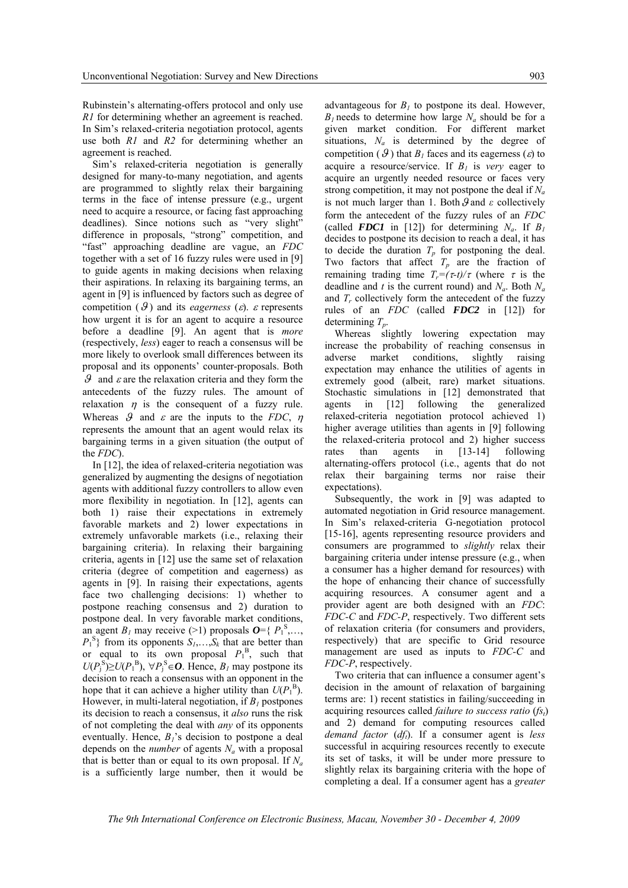Rubinstein's alternating-offers protocol and only use *R1* for determining whether an agreement is reached. In Sim's relaxed-criteria negotiation protocol, agents use both *R1* and *R2* for determining whether an agreement is reached.

Sim's relaxed-criteria negotiation is generally designed for many-to-many negotiation, and agents are programmed to slightly relax their bargaining terms in the face of intense pressure (e.g., urgent need to acquire a resource, or facing fast approaching deadlines). Since notions such as "very slight" difference in proposals, "strong" competition, and "fast" approaching deadline are vague, an *FDC* together with a set of 16 fuzzy rules were used in [9] to guide agents in making decisions when relaxing their aspirations. In relaxing its bargaining terms, an agent in [9] is influenced by factors such as degree of competition  $(\mathcal{G})$  and its *eagerness*  $(\varepsilon)$ .  $\varepsilon$  represents how urgent it is for an agent to acquire a resource before a deadline [9]. An agent that is *more*  (respectively, *less*) eager to reach a consensus will be more likely to overlook small differences between its proposal and its opponents' counter-proposals. Both  $\theta$  and  $\varepsilon$  are the relaxation criteria and they form the antecedents of the fuzzy rules. The amount of relaxation  $\eta$  is the consequent of a fuzzy rule. Whereas  $\theta$  and  $\varepsilon$  are the inputs to the *FDC*,  $\eta$ represents the amount that an agent would relax its bargaining terms in a given situation (the output of the *FDC*).

In [12], the idea of relaxed-criteria negotiation was generalized by augmenting the designs of negotiation agents with additional fuzzy controllers to allow even more flexibility in negotiation. In [12], agents can both 1) raise their expectations in extremely favorable markets and 2) lower expectations in extremely unfavorable markets (i.e., relaxing their bargaining criteria). In relaxing their bargaining criteria, agents in [12] use the same set of relaxation criteria (degree of competition and eagerness) as agents in [9]. In raising their expectations, agents face two challenging decisions: 1) whether to postpone reaching consensus and 2) duration to postpone deal. In very favorable market conditions, an agent  $B_1$  may receive (>1) proposals  $\boldsymbol{O} = \{P_1^S, \ldots, P_n\}$  $P_1^{\{S\}}$  from its opponents  $S_1, \ldots, S_k$  that are better than or equal to its own proposal  $P_1^B$ , such that *U*( $P_j$ <sup>S</sup>)≥*U*( $P_1$ <sup>B</sup>), ∀ $P_j$ <sup>S</sup> ∈*O*. Hence,  $B_l$  may postpone its decision to reach a consensus with an opponent in the hope that it can achieve a higher utility than  $U(P_1^B)$ . However, in multi-lateral negotiation, if  $B<sub>I</sub>$  postpones its decision to reach a consensus, it *also* runs the risk of not completing the deal with *any* of its opponents eventually. Hence,  $B_1$ 's decision to postpone a deal depends on the *number* of agents  $N_a$  with a proposal that is better than or equal to its own proposal. If  $N_a$ is a sufficiently large number, then it would be

advantageous for  $B<sub>1</sub>$  to postpone its deal. However,  $B_1$  needs to determine how large  $N_a$  should be for a given market condition. For different market situations,  $N_a$  is determined by the degree of competition ( $\mathcal{G}$ ) that  $B<sub>l</sub>$  faces and its eagerness ( $\varepsilon$ ) to acquire a resource/service. If  $B_1$  is *very* eager to acquire an urgently needed resource or faces very strong competition, it may not postpone the deal if  $N_a$ is not much larger than 1. Both  $\theta$  and  $\varepsilon$  collectively form the antecedent of the fuzzy rules of an *FDC* (called **FDC1** in [12]) for determining  $N_a$ . If  $B_1$ decides to postpone its decision to reach a deal, it has to decide the duration  $T_p$  for postponing the deal. Two factors that affect  $T_p$  are the fraction of remaining trading time  $T_r = (\tau - t)/\tau$  (where  $\tau$  is the deadline and *t* is the current round) and  $N_a$ . Both  $N_a$ and  $T_r$  collectively form the antecedent of the fuzzy rules of an *FDC* (called *FDC2* in [12]) for determining  $T_p$ .

Whereas slightly lowering expectation may increase the probability of reaching consensus in adverse market conditions, slightly raising expectation may enhance the utilities of agents in extremely good (albeit, rare) market situations. Stochastic simulations in [12] demonstrated that agents in [12] following the generalized relaxed-criteria negotiation protocol achieved 1) higher average utilities than agents in [9] following the relaxed-criteria protocol and 2) higher success rates than agents in [13-14] following alternating-offers protocol (i.e., agents that do not relax their bargaining terms nor raise their expectations).

Subsequently, the work in [9] was adapted to automated negotiation in Grid resource management. In Sim's relaxed-criteria G-negotiation protocol [15-16], agents representing resource providers and consumers are programmed to *slightly* relax their bargaining criteria under intense pressure (e.g., when a consumer has a higher demand for resources) with the hope of enhancing their chance of successfully acquiring resources. A consumer agent and a provider agent are both designed with an *FDC*: *FDC-C* and *FDC-P*, respectively. Two different sets of relaxation criteria (for consumers and providers, respectively) that are specific to Grid resource management are used as inputs to *FDC-C* and *FDC-P*, respectively.

Two criteria that can influence a consumer agent's decision in the amount of relaxation of bargaining terms are: 1) recent statistics in failing/succeeding in acquiring resources called *failure to success ratio* (*fs*<sub>t</sub>) and 2) demand for computing resources called *demand factor* (*dft*). If a consumer agent is *less* successful in acquiring resources recently to execute its set of tasks, it will be under more pressure to slightly relax its bargaining criteria with the hope of completing a deal. If a consumer agent has a *greater*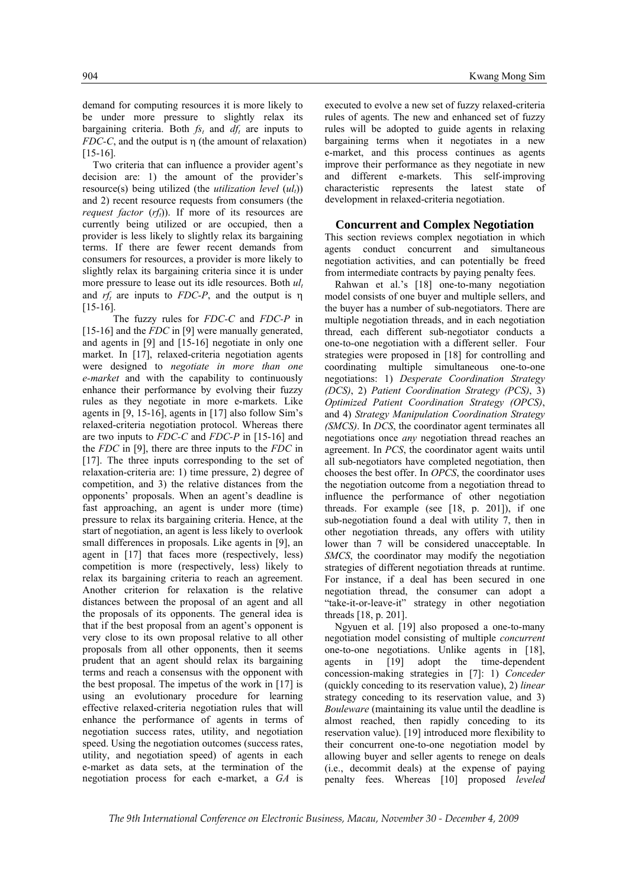demand for computing resources it is more likely to be under more pressure to slightly relax its bargaining criteria. Both  $f_{s_t}$  and  $df_t$  are inputs to *FDC-C*, and the output is η (the amount of relaxation) [15-16].

Two criteria that can influence a provider agent's decision are: 1) the amount of the provider's resource(s) being utilized (the *utilization level*  $(ul_1)$ ) and 2) recent resource requests from consumers (the *request factor*  $(rf_t)$ ). If more of its resources are currently being utilized or are occupied, then a provider is less likely to slightly relax its bargaining terms. If there are fewer recent demands from consumers for resources, a provider is more likely to slightly relax its bargaining criteria since it is under more pressure to lease out its idle resources. Both  $ul_t$ and *rft* are inputs to *FDC-P*, and the output is η [15-16].

 The fuzzy rules for *FDC-C* and *FDC-P* in [15-16] and the *FDC* in [9] were manually generated, and agents in [9] and [15-16] negotiate in only one market. In [17], relaxed-criteria negotiation agents were designed to *negotiate in more than one e-market* and with the capability to continuously enhance their performance by evolving their fuzzy rules as they negotiate in more e-markets. Like agents in [9, 15-16], agents in [17] also follow Sim's relaxed-criteria negotiation protocol. Whereas there are two inputs to *FDC-C* and *FDC-P* in [15-16] and the *FDC* in [9], there are three inputs to the *FDC* in [17]. The three inputs corresponding to the set of relaxation-criteria are: 1) time pressure, 2) degree of competition, and 3) the relative distances from the opponents' proposals. When an agent's deadline is fast approaching, an agent is under more (time) pressure to relax its bargaining criteria. Hence, at the start of negotiation, an agent is less likely to overlook small differences in proposals. Like agents in [9], an agent in [17] that faces more (respectively, less) competition is more (respectively, less) likely to relax its bargaining criteria to reach an agreement. Another criterion for relaxation is the relative distances between the proposal of an agent and all the proposals of its opponents. The general idea is that if the best proposal from an agent's opponent is very close to its own proposal relative to all other proposals from all other opponents, then it seems prudent that an agent should relax its bargaining terms and reach a consensus with the opponent with the best proposal. The impetus of the work in [17] is using an evolutionary procedure for learning effective relaxed-criteria negotiation rules that will enhance the performance of agents in terms of negotiation success rates, utility, and negotiation speed. Using the negotiation outcomes (success rates, utility, and negotiation speed) of agents in each e-market as data sets, at the termination of the negotiation process for each e-market, a *GA* is

executed to evolve a new set of fuzzy relaxed-criteria rules of agents. The new and enhanced set of fuzzy rules will be adopted to guide agents in relaxing bargaining terms when it negotiates in a new e-market, and this process continues as agents improve their performance as they negotiate in new and different e-markets. This self-improving characteristic represents the latest state of development in relaxed-criteria negotiation.

## **Concurrent and Complex Negotiation**

This section reviews complex negotiation in which agents conduct concurrent and simultaneous negotiation activities, and can potentially be freed from intermediate contracts by paying penalty fees.

Rahwan et al.'s [18] one-to-many negotiation model consists of one buyer and multiple sellers, and the buyer has a number of sub-negotiators. There are multiple negotiation threads, and in each negotiation thread, each different sub-negotiator conducts a one-to-one negotiation with a different seller. Four strategies were proposed in [18] for controlling and coordinating multiple simultaneous one-to-one negotiations: 1) *Desperate Coordination Strategy (DCS)*, 2) *Patient Coordination Strategy (PCS)*, 3) *Optimized Patient Coordination Strategy (OPCS)*, and 4) *Strategy Manipulation Coordination Strategy (SMCS)*. In *DCS*, the coordinator agent terminates all negotiations once *any* negotiation thread reaches an agreement. In *PCS*, the coordinator agent waits until all sub-negotiators have completed negotiation, then chooses the best offer. In *OPCS*, the coordinator uses the negotiation outcome from a negotiation thread to influence the performance of other negotiation threads. For example (see [18, p. 201]), if one sub-negotiation found a deal with utility 7, then in other negotiation threads, any offers with utility lower than 7 will be considered unacceptable. In *SMCS*, the coordinator may modify the negotiation strategies of different negotiation threads at runtime. For instance, if a deal has been secured in one negotiation thread, the consumer can adopt a "take-it-or-leave-it" strategy in other negotiation threads [18, p. 201].

Ngyuen et al. [19] also proposed a one-to-many negotiation model consisting of multiple *concurrent* one-to-one negotiations. Unlike agents in [18], agents in [19] adopt the time-dependent concession-making strategies in [7]: 1) *Conceder* (quickly conceding to its reservation value), 2) *linear* strategy conceding to its reservation value, and 3) *Bouleware* (maintaining its value until the deadline is almost reached, then rapidly conceding to its reservation value). [19] introduced more flexibility to their concurrent one-to-one negotiation model by allowing buyer and seller agents to renege on deals (i.e., decommit deals) at the expense of paying penalty fees. Whereas [10] proposed *leveled*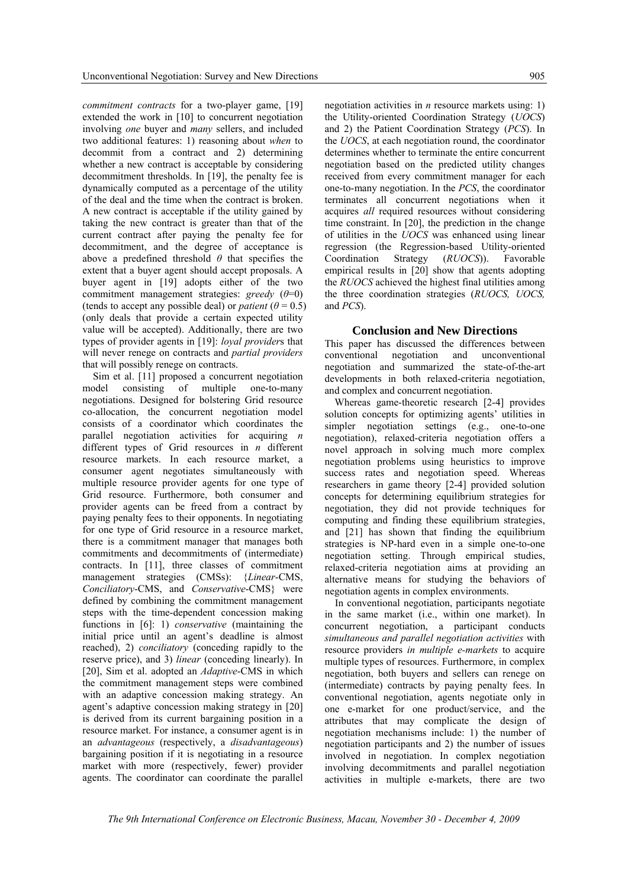*commitment contracts* for a two-player game, [19] extended the work in [10] to concurrent negotiation involving *one* buyer and *many* sellers, and included two additional features: 1) reasoning about *when* to decommit from a contract and 2) determining whether a new contract is acceptable by considering decommitment thresholds. In [19], the penalty fee is dynamically computed as a percentage of the utility of the deal and the time when the contract is broken. A new contract is acceptable if the utility gained by taking the new contract is greater than that of the current contract after paying the penalty fee for decommitment, and the degree of acceptance is above a predefined threshold *θ* that specifies the extent that a buyer agent should accept proposals. A buyer agent in [19] adopts either of the two commitment management strategies: *greedy* (*θ*=0) (tends to accept any possible deal) or *patient* ( $\theta$  = 0.5) (only deals that provide a certain expected utility value will be accepted). Additionally, there are two types of provider agents in [19]: *loyal provider*s that will never renege on contracts and *partial providers* that will possibly renege on contracts.

Sim et al. [11] proposed a concurrent negotiation model consisting of multiple one-to-many negotiations. Designed for bolstering Grid resource co-allocation, the concurrent negotiation model consists of a coordinator which coordinates the parallel negotiation activities for acquiring *n* different types of Grid resources in *n* different resource markets. In each resource market, a consumer agent negotiates simultaneously with multiple resource provider agents for one type of Grid resource. Furthermore, both consumer and provider agents can be freed from a contract by paying penalty fees to their opponents. In negotiating for one type of Grid resource in a resource market, there is a commitment manager that manages both commitments and decommitments of (intermediate) contracts. In [11], three classes of commitment management strategies (CMSs): {*Linear*-CMS, *Conciliatory*-CMS, and *Conservative*-CMS} were defined by combining the commitment management steps with the time-dependent concession making functions in [6]: 1) *conservative* (maintaining the initial price until an agent's deadline is almost reached), 2) *conciliatory* (conceding rapidly to the reserve price), and 3) *linear* (conceding linearly). In [20], Sim et al. adopted an *Adaptive*-CMS in which the commitment management steps were combined with an adaptive concession making strategy. An agent's adaptive concession making strategy in [20] is derived from its current bargaining position in a resource market. For instance, a consumer agent is in an *advantageous* (respectively, a *disadvantageous*) bargaining position if it is negotiating in a resource market with more (respectively, fewer) provider agents. The coordinator can coordinate the parallel

negotiation activities in *n* resource markets using: 1) the Utility-oriented Coordination Strategy (*UOCS*) and 2) the Patient Coordination Strategy (*PCS*). In the *UOCS*, at each negotiation round, the coordinator determines whether to terminate the entire concurrent negotiation based on the predicted utility changes received from every commitment manager for each one-to-many negotiation. In the *PCS*, the coordinator terminates all concurrent negotiations when it acquires *all* required resources without considering time constraint. In [20], the prediction in the change of utilities in the *UOCS* was enhanced using linear regression (the Regression-based Utility-oriented Coordination Strategy (RUOCS)). Favorable Coordination Strategy (*RUOCS*)). Favorable empirical results in [20] show that agents adopting the *RUOCS* achieved the highest final utilities among the three coordination strategies (*RUOCS, UOCS,*  and *PCS*).

## **Conclusion and New Directions**

This paper has discussed the differences between conventional negotiation and unconventional negotiation and summarized the state-of-the-art developments in both relaxed-criteria negotiation, and complex and concurrent negotiation.

Whereas game-theoretic research [2-4] provides solution concepts for optimizing agents' utilities in simpler negotiation settings (e.g., one-to-one negotiation), relaxed-criteria negotiation offers a novel approach in solving much more complex negotiation problems using heuristics to improve success rates and negotiation speed. Whereas researchers in game theory [2-4] provided solution concepts for determining equilibrium strategies for negotiation, they did not provide techniques for computing and finding these equilibrium strategies, and [21] has shown that finding the equilibrium strategies is NP-hard even in a simple one-to-one negotiation setting. Through empirical studies, relaxed-criteria negotiation aims at providing an alternative means for studying the behaviors of negotiation agents in complex environments.

In conventional negotiation, participants negotiate in the same market (i.e., within one market). In concurrent negotiation, a participant conducts *simultaneous and parallel negotiation activities* with resource providers *in multiple e-markets* to acquire multiple types of resources. Furthermore, in complex negotiation, both buyers and sellers can renege on (intermediate) contracts by paying penalty fees. In conventional negotiation, agents negotiate only in one e-market for one product/service, and the attributes that may complicate the design of negotiation mechanisms include: 1) the number of negotiation participants and 2) the number of issues involved in negotiation. In complex negotiation involving decommitments and parallel negotiation activities in multiple e-markets, there are two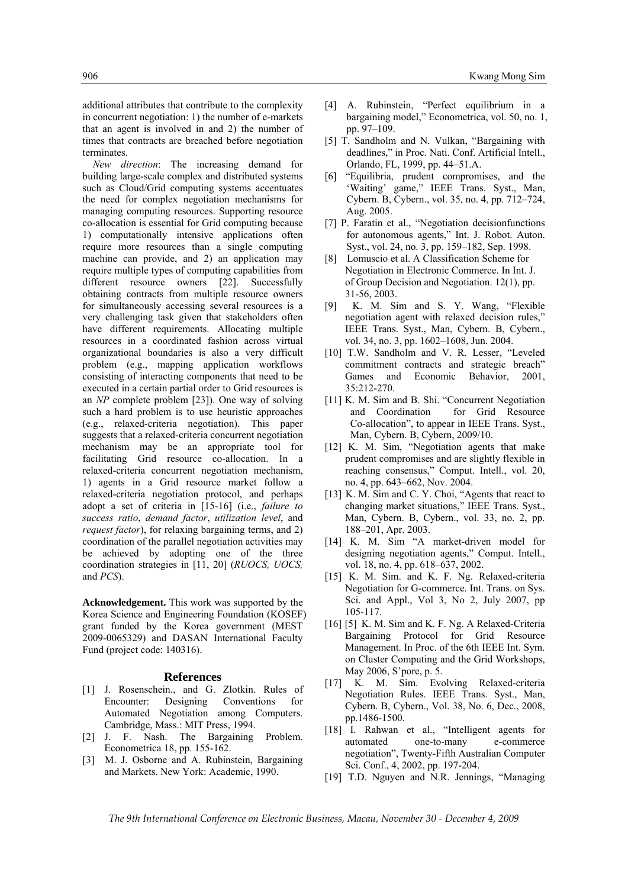additional attributes that contribute to the complexity in concurrent negotiation: 1) the number of e-markets that an agent is involved in and 2) the number of times that contracts are breached before negotiation terminates.

*New direction*: The increasing demand for building large-scale complex and distributed systems such as Cloud/Grid computing systems accentuates the need for complex negotiation mechanisms for managing computing resources. Supporting resource co-allocation is essential for Grid computing because 1) computationally intensive applications often require more resources than a single computing machine can provide, and 2) an application may require multiple types of computing capabilities from different resource owners [22]. Successfully obtaining contracts from multiple resource owners for simultaneously accessing several resources is a very challenging task given that stakeholders often have different requirements. Allocating multiple resources in a coordinated fashion across virtual organizational boundaries is also a very difficult problem (e.g., mapping application workflows consisting of interacting components that need to be executed in a certain partial order to Grid resources is an *NP* complete problem [23]). One way of solving such a hard problem is to use heuristic approaches (e.g., relaxed-criteria negotiation). This paper suggests that a relaxed-criteria concurrent negotiation mechanism may be an appropriate tool for facilitating Grid resource co-allocation. In a relaxed-criteria concurrent negotiation mechanism, 1) agents in a Grid resource market follow a relaxed-criteria negotiation protocol, and perhaps adopt a set of criteria in [15-16] (i.e., *failure to success ratio*, *demand factor*, *utilization level*, and *request factor*), for relaxing bargaining terms, and 2) coordination of the parallel negotiation activities may be achieved by adopting one of the three coordination strategies in [11, 20] (*RUOCS, UOCS,*  and *PCS*).

**Acknowledgement.** This work was supported by the Korea Science and Engineering Foundation (KOSEF) grant funded by the Korea government (MEST 2009-0065329) and DASAN International Faculty Fund (project code: 140316).

### **References**

- [1] J. Rosenschein., and G. Zlotkin. Rules of Encounter: Designing Conventions for Automated Negotiation among Computers. Cambridge, Mass.: MIT Press, 1994.
- [2] J. F. Nash. The Bargaining Problem. Econometrica 18, pp. 155-162.
- [3] M. J. Osborne and A. Rubinstein, Bargaining and Markets. New York: Academic, 1990.
- [4] A. Rubinstein, "Perfect equilibrium in a bargaining model," Econometrica, vol. 50, no. 1, pp. 97–109.
- [5] T. Sandholm and N. Vulkan, "Bargaining with deadlines," in Proc. Nati. Conf. Artificial Intell., Orlando, FL, 1999, pp. 44–51.A.
- [6] "Equilibria, prudent compromises, and the 'Waiting' game," IEEE Trans. Syst., Man, Cybern. B, Cybern., vol. 35, no. 4, pp. 712–724, Aug. 2005.
- [7] P. Faratin et al., "Negotiation decisionfunctions for autonomous agents," Int. J. Robot. Auton. Syst., vol. 24, no. 3, pp. 159–182, Sep. 1998.
- [8] Lomuscio et al. A Classification Scheme for Negotiation in Electronic Commerce. In Int. J. of Group Decision and Negotiation. 12(1), pp. 31-56, 2003.
- [9] K. M. Sim and S. Y. Wang, "Flexible negotiation agent with relaxed decision rules," IEEE Trans. Syst., Man, Cybern. B, Cybern., vol. 34, no. 3, pp. 1602–1608, Jun. 2004.
- [10] T.W. Sandholm and V. R. Lesser, "Leveled commitment contracts and strategic breach" Games and Economic Behavior, 2001, 35:212-270.
- [11] K. M. Sim and B. Shi. "Concurrent Negotiation" and Coordination for Grid Resource Co-allocation", to appear in IEEE Trans. Syst., Man, Cybern. B, Cybern, 2009/10.
- [12] K. M. Sim, "Negotiation agents that make prudent compromises and are slightly flexible in reaching consensus," Comput. Intell., vol. 20, no. 4, pp. 643–662, Nov. 2004.
- [13] K. M. Sim and C. Y. Choi, "Agents that react to changing market situations," IEEE Trans. Syst., Man, Cybern. B, Cybern., vol. 33, no. 2, pp. 188–201, Apr. 2003.
- [14] K. M. Sim "A market-driven model for designing negotiation agents," Comput. Intell., vol. 18, no. 4, pp. 618–637, 2002.
- [15] K. M. Sim. and K. F. Ng. Relaxed-criteria Negotiation for G-commerce. Int. Trans. on Sys. Sci. and Appl., Vol 3, No 2, July 2007, pp 105-117.
- [16] [5] K. M. Sim and K. F. Ng. A Relaxed-Criteria Bargaining Protocol for Grid Resource Management. In Proc. of the 6th IEEE Int. Sym. on Cluster Computing and the Grid Workshops, May 2006, S'pore, p. 5.
- [17] K. M. Sim. Evolving Relaxed-criteria Negotiation Rules. IEEE Trans. Syst., Man, Cybern. B, Cybern., Vol. 38, No. 6, Dec., 2008, pp.1486-1500.
- [18] I. Rahwan et al., "Intelligent agents for automated one-to-many e-commerce negotiation", Twenty-Fifth Australian Computer Sci. Conf., 4, 2002, pp. 197-204.
- [19] T.D. Nguyen and N.R. Jennings, "Managing